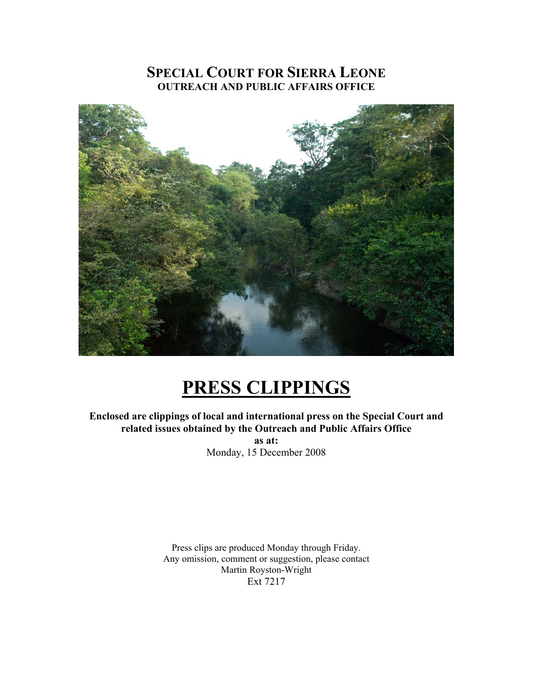# **SPECIAL COURT FOR SIERRA LEONE OUTREACH AND PUBLIC AFFAIRS OFFICE**



# **PRESS CLIPPINGS**

**Enclosed are clippings of local and international press on the Special Court and related issues obtained by the Outreach and Public Affairs Office as at:**  Monday, 15 December 2008

> Press clips are produced Monday through Friday. Any omission, comment or suggestion, please contact Martin Royston-Wright Ext 7217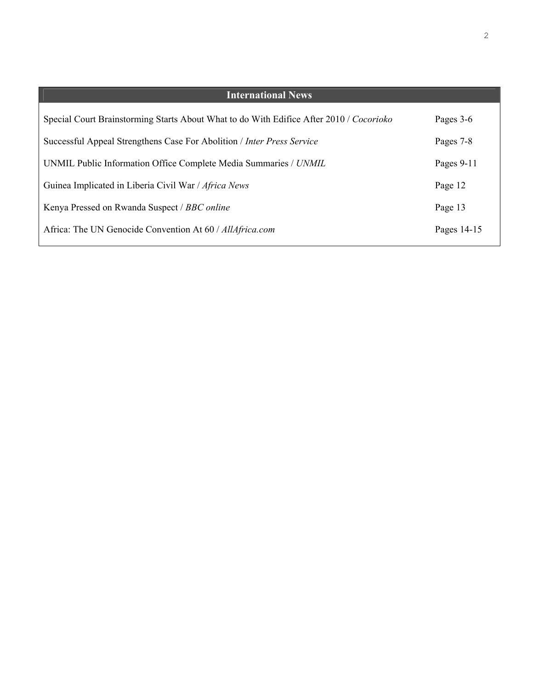| Pages 3-6   |
|-------------|
| Pages 7-8   |
| Pages 9-11  |
| Page 12     |
| Page 13     |
| Pages 14-15 |
|             |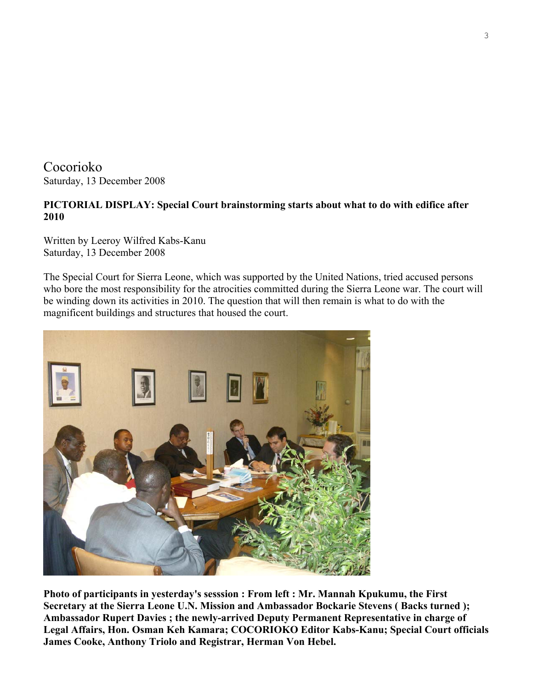Cocorioko Saturday, 13 December 2008

# **PICTORIAL DISPLAY: Special Court brainstorming starts about what to do with edifice after 2010**

Written by Leeroy Wilfred Kabs-Kanu Saturday, 13 December 2008

The Special Court for Sierra Leone, which was supported by the United Nations, tried accused persons who bore the most responsibility for the atrocities committed during the Sierra Leone war. The court will be winding down its activities in 2010. The question that will then remain is what to do with the magnificent buildings and structures that housed the court.



**Photo of participants in yesterday's sesssion : From left : Mr. Mannah Kpukumu, the First Secretary at the Sierra Leone U.N. Mission and Ambassador Bockarie Stevens ( Backs turned ); Ambassador Rupert Davies ; the newly-arrived Deputy Permanent Representative in charge of Legal Affairs, Hon. Osman Keh Kamara; COCORIOKO Editor Kabs-Kanu; Special Court officials James Cooke, Anthony Triolo and Registrar, Herman Von Hebel.**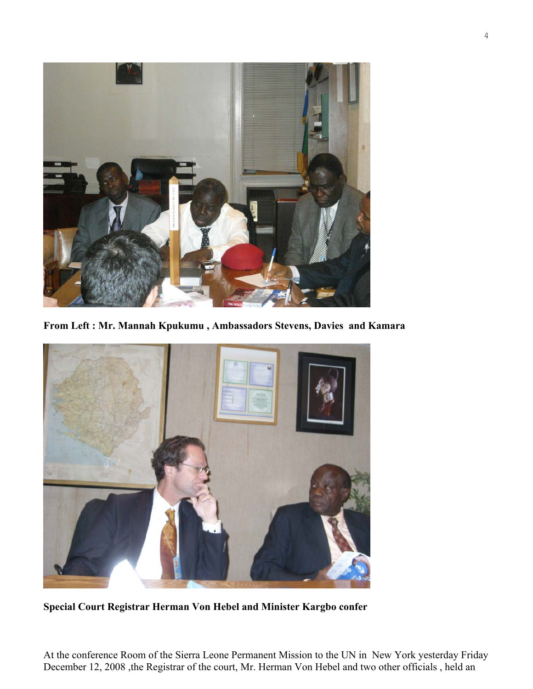

**From Left : Mr. Mannah Kpukumu , Ambassadors Stevens, Davies and Kamara**



**Special Court Registrar Herman Von Hebel and Minister Kargbo confer** 

At the conference Room of the Sierra Leone Permanent Mission to the UN in New York yesterday Friday December 12, 2008 ,the Registrar of the court, Mr. Herman Von Hebel and two other officials , held an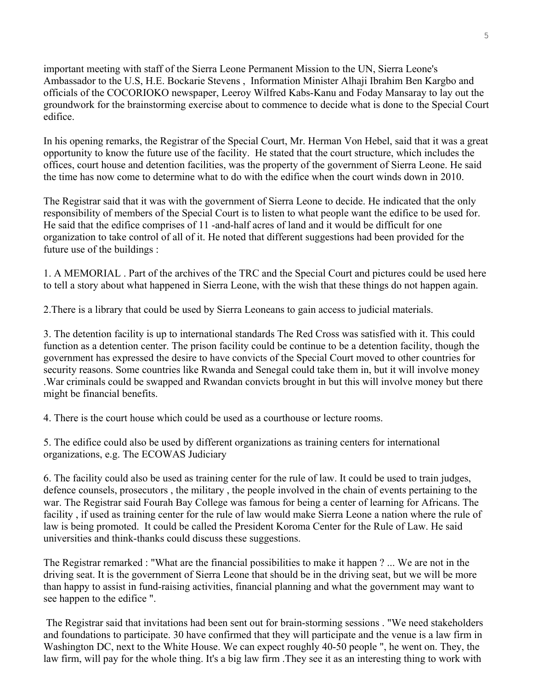important meeting with staff of the Sierra Leone Permanent Mission to the UN, Sierra Leone's Ambassador to the U.S, H.E. Bockarie Stevens , Information Minister Alhaji Ibrahim Ben Kargbo and officials of the COCORIOKO newspaper, Leeroy Wilfred Kabs-Kanu and Foday Mansaray to lay out the groundwork for the brainstorming exercise about to commence to decide what is done to the Special Court edifice.

In his opening remarks, the Registrar of the Special Court, Mr. Herman Von Hebel, said that it was a great opportunity to know the future use of the facility. He stated that the court structure, which includes the offices, court house and detention facilities, was the property of the government of Sierra Leone. He said the time has now come to determine what to do with the edifice when the court winds down in 2010.

The Registrar said that it was with the government of Sierra Leone to decide. He indicated that the only responsibility of members of the Special Court is to listen to what people want the edifice to be used for. He said that the edifice comprises of 11 -and-half acres of land and it would be difficult for one organization to take control of all of it. He noted that different suggestions had been provided for the future use of the buildings :

1. A MEMORIAL . Part of the archives of the TRC and the Special Court and pictures could be used here to tell a story about what happened in Sierra Leone, with the wish that these things do not happen again.

2.There is a library that could be used by Sierra Leoneans to gain access to judicial materials.

3. The detention facility is up to international standards The Red Cross was satisfied with it. This could function as a detention center. The prison facility could be continue to be a detention facility, though the government has expressed the desire to have convicts of the Special Court moved to other countries for security reasons. Some countries like Rwanda and Senegal could take them in, but it will involve money .War criminals could be swapped and Rwandan convicts brought in but this will involve money but there might be financial benefits.

4. There is the court house which could be used as a courthouse or lecture rooms.

5. The edifice could also be used by different organizations as training centers for international organizations, e.g. The ECOWAS Judiciary

6. The facility could also be used as training center for the rule of law. It could be used to train judges, defence counsels, prosecutors , the military , the people involved in the chain of events pertaining to the war. The Registrar said Fourah Bay College was famous for being a center of learning for Africans. The facility , if used as training center for the rule of law would make Sierra Leone a nation where the rule of law is being promoted. It could be called the President Koroma Center for the Rule of Law. He said universities and think-thanks could discuss these suggestions.

The Registrar remarked : "What are the financial possibilities to make it happen ? ... We are not in the driving seat. It is the government of Sierra Leone that should be in the driving seat, but we will be more than happy to assist in fund-raising activities, financial planning and what the government may want to see happen to the edifice ".

 The Registrar said that invitations had been sent out for brain-storming sessions . "We need stakeholders and foundations to participate. 30 have confirmed that they will participate and the venue is a law firm in Washington DC, next to the White House. We can expect roughly 40-50 people ", he went on. They, the law firm, will pay for the whole thing. It's a big law firm .They see it as an interesting thing to work with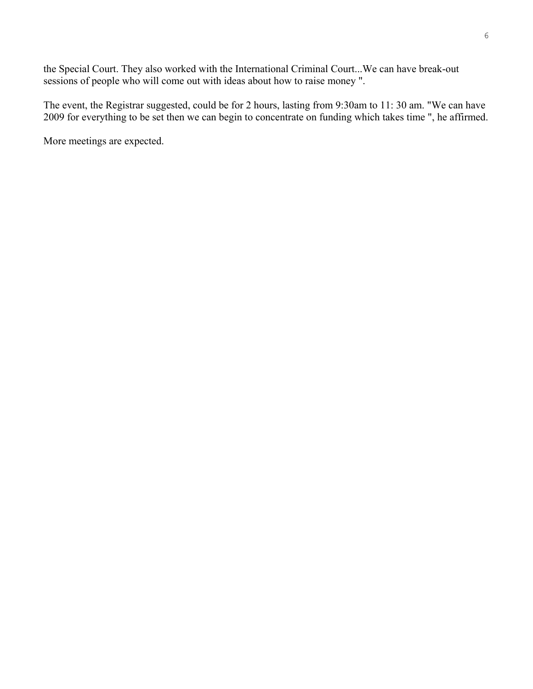the Special Court. They also worked with the International Criminal Court...We can have break-out sessions of people who will come out with ideas about how to raise money ".

The event, the Registrar suggested, could be for 2 hours, lasting from 9:30am to 11: 30 am. "We can have 2009 for everything to be set then we can begin to concentrate on funding which takes time ", he affirmed.

More meetings are expected.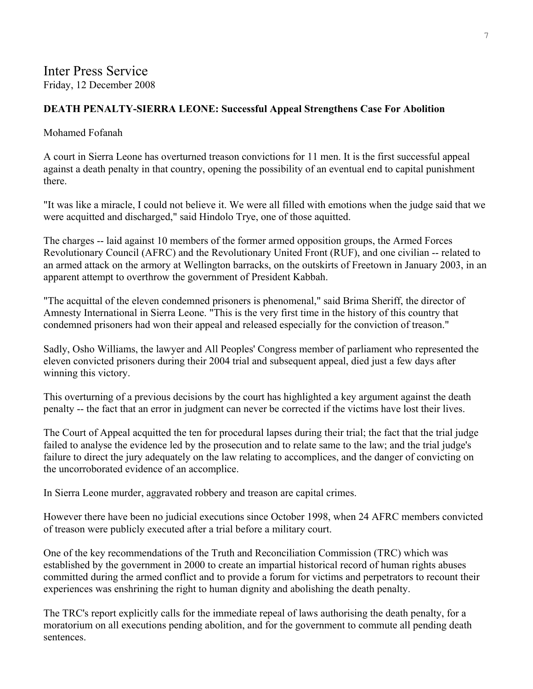# **DEATH PENALTY-SIERRA LEONE: Successful Appeal Strengthens Case For Abolition**

Mohamed Fofanah

A court in Sierra Leone has overturned treason convictions for 11 men. It is the first successful appeal against a death penalty in that country, opening the possibility of an eventual end to capital punishment there.

"It was like a miracle, I could not believe it. We were all filled with emotions when the judge said that we were acquitted and discharged," said Hindolo Trye, one of those aquitted.

The charges -- laid against 10 members of the former armed opposition groups, the Armed Forces Revolutionary Council (AFRC) and the Revolutionary United Front (RUF), and one civilian -- related to an armed attack on the armory at Wellington barracks, on the outskirts of Freetown in January 2003, in an apparent attempt to overthrow the government of President Kabbah.

"The acquittal of the eleven condemned prisoners is phenomenal," said Brima Sheriff, the director of Amnesty International in Sierra Leone. "This is the very first time in the history of this country that condemned prisoners had won their appeal and released especially for the conviction of treason."

Sadly, Osho Williams, the lawyer and All Peoples' Congress member of parliament who represented the eleven convicted prisoners during their 2004 trial and subsequent appeal, died just a few days after winning this victory.

This overturning of a previous decisions by the court has highlighted a key argument against the death penalty -- the fact that an error in judgment can never be corrected if the victims have lost their lives.

The Court of Appeal acquitted the ten for procedural lapses during their trial; the fact that the trial judge failed to analyse the evidence led by the prosecution and to relate same to the law; and the trial judge's failure to direct the jury adequately on the law relating to accomplices, and the danger of convicting on the uncorroborated evidence of an accomplice.

In Sierra Leone murder, aggravated robbery and treason are capital crimes.

However there have been no judicial executions since October 1998, when 24 AFRC members convicted of treason were publicly executed after a trial before a military court.

One of the key recommendations of the Truth and Reconciliation Commission (TRC) which was established by the government in 2000 to create an impartial historical record of human rights abuses committed during the armed conflict and to provide a forum for victims and perpetrators to recount their experiences was enshrining the right to human dignity and abolishing the death penalty.

The TRC's report explicitly calls for the immediate repeal of laws authorising the death penalty, for a moratorium on all executions pending abolition, and for the government to commute all pending death sentences.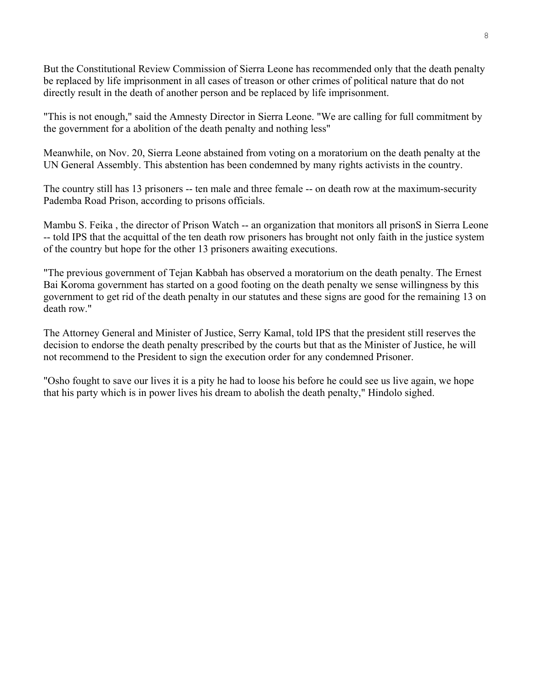But the Constitutional Review Commission of Sierra Leone has recommended only that the death penalty be replaced by life imprisonment in all cases of treason or other crimes of political nature that do not directly result in the death of another person and be replaced by life imprisonment.

"This is not enough," said the Amnesty Director in Sierra Leone. "We are calling for full commitment by the government for a abolition of the death penalty and nothing less"

Meanwhile, on Nov. 20, Sierra Leone abstained from voting on a moratorium on the death penalty at the UN General Assembly. This abstention has been condemned by many rights activists in the country.

The country still has 13 prisoners -- ten male and three female -- on death row at the maximum-security Pademba Road Prison, according to prisons officials.

Mambu S. Feika , the director of Prison Watch -- an organization that monitors all prisonS in Sierra Leone -- told IPS that the acquittal of the ten death row prisoners has brought not only faith in the justice system of the country but hope for the other 13 prisoners awaiting executions.

"The previous government of Tejan Kabbah has observed a moratorium on the death penalty. The Ernest Bai Koroma government has started on a good footing on the death penalty we sense willingness by this government to get rid of the death penalty in our statutes and these signs are good for the remaining 13 on death row."

The Attorney General and Minister of Justice, Serry Kamal, told IPS that the president still reserves the decision to endorse the death penalty prescribed by the courts but that as the Minister of Justice, he will not recommend to the President to sign the execution order for any condemned Prisoner.

"Osho fought to save our lives it is a pity he had to loose his before he could see us live again, we hope that his party which is in power lives his dream to abolish the death penalty," Hindolo sighed.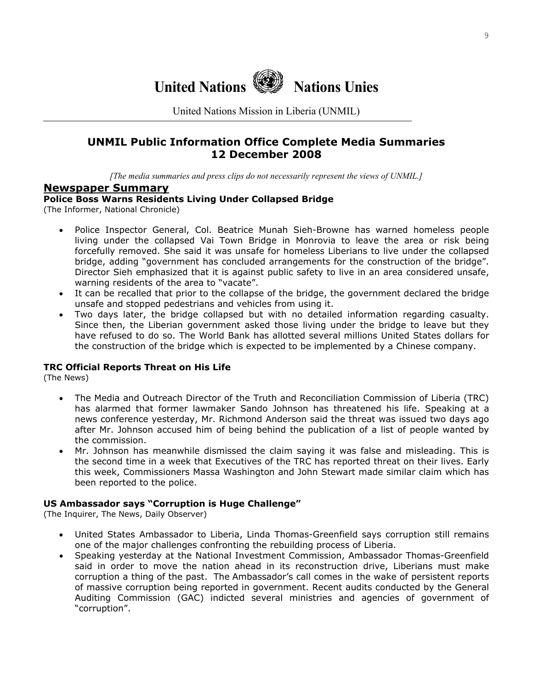

United Nations Mission in Liberia (UNMIL)

# **UNMIL Public Information Office Complete Media Summaries 12 December 2008**

*[The media summaries and press clips do not necessarily represent the views of UNMIL.]*

#### **Newspaper Summary**

**Police Boss Warns Residents Living Under Collapsed Bridge** 

(The Informer, National Chronicle)

- Police Inspector General, Col. Beatrice Munah Sieh-Browne has warned homeless people living under the collapsed Vai Town Bridge in Monrovia to leave the area or risk being forcefully removed. She said it was unsafe for homeless Liberians to live under the collapsed bridge, adding "government has concluded arrangements for the construction of the bridge". Director Sieh emphasized that it is against public safety to live in an area considered unsafe, warning residents of the area to "vacate".
- It can be recalled that prior to the collapse of the bridge, the government declared the bridge unsafe and stopped pedestrians and vehicles from using it.
- Two days later, the bridge collapsed but with no detailed information regarding casualty. Since then, the Liberian government asked those living under the bridge to leave but they have refused to do so. The World Bank has allotted several millions United States dollars for the construction of the bridge which is expected to be implemented by a Chinese company.

#### **TRC Official Reports Threat on His Life**

(The News)

- The Media and Outreach Director of the Truth and Reconciliation Commission of Liberia (TRC) has alarmed that former lawmaker Sando Johnson has threatened his life. Speaking at a news conference yesterday, Mr. Richmond Anderson said the threat was issued two days ago after Mr. Johnson accused him of being behind the publication of a list of people wanted by the commission.
- Mr. Johnson has meanwhile dismissed the claim saying it was false and misleading. This is the second time in a week that Executives of the TRC has reported threat on their lives. Early this week, Commissioners Massa Washington and John Stewart made similar claim which has been reported to the police.

#### **US Ambassador says "Corruption is Huge Challenge"**

(The Inquirer, The News, Daily Observer)

- United States Ambassador to Liberia, Linda Thomas-Greenfield says corruption still remains one of the major challenges confronting the rebuilding process of Liberia.
- Speaking yesterday at the National Investment Commission, Ambassador Thomas-Greenfield said in order to move the nation ahead in its reconstruction drive, Liberians must make corruption a thing of the past. The Ambassador's call comes in the wake of persistent reports of massive corruption being reported in government. Recent audits conducted by the General Auditing Commission (GAC) indicted several ministries and agencies of government of "corruption".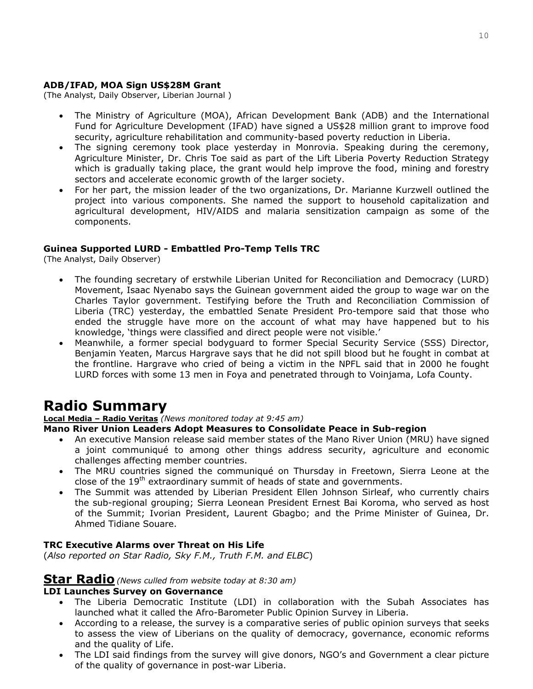#### **ADB/IFAD, MOA Sign US\$28M Grant**

(The Analyst, Daily Observer, Liberian Journal )

- The Ministry of Agriculture (MOA), African Development Bank (ADB) and the International Fund for Agriculture Development (IFAD) have signed a US\$28 million grant to improve food security, agriculture rehabilitation and community-based poverty reduction in Liberia.
- The signing ceremony took place yesterday in Monrovia. Speaking during the ceremony, Agriculture Minister, Dr. Chris Toe said as part of the Lift Liberia Poverty Reduction Strategy which is gradually taking place, the grant would help improve the food, mining and forestry sectors and accelerate economic growth of the larger society.
- For her part, the mission leader of the two organizations, Dr. Marianne Kurzwell outlined the project into various components. She named the support to household capitalization and agricultural development, HIV/AIDS and malaria sensitization campaign as some of the components.

#### **Guinea Supported LURD - Embattled Pro-Temp Tells TRC**

(The Analyst, Daily Observer)

- The founding secretary of erstwhile Liberian United for Reconciliation and Democracy (LURD) Movement, Isaac Nyenabo says the Guinean government aided the group to wage war on the Charles Taylor government. Testifying before the Truth and Reconciliation Commission of Liberia (TRC) yesterday, the embattled Senate President Pro-tempore said that those who ended the struggle have more on the account of what may have happened but to his knowledge, 'things were classified and direct people were not visible.'
- Meanwhile, a former special bodyguard to former Special Security Service (SSS) Director, Benjamin Yeaten, Marcus Hargrave says that he did not spill blood but he fought in combat at the frontline. Hargrave who cried of being a victim in the NPFL said that in 2000 he fought LURD forces with some 13 men in Foya and penetrated through to Voinjama, Lofa County.

# **Radio Summary**

#### **Local Media – Radio Veritas** *(News monitored today at 9:45 am)*

#### **Mano River Union Leaders Adopt Measures to Consolidate Peace in Sub-region**

- An executive Mansion release said member states of the Mano River Union (MRU) have signed a joint communiqué to among other things address security, agriculture and economic challenges affecting member countries.
- The MRU countries signed the communiqué on Thursday in Freetown, Sierra Leone at the close of the  $19<sup>th</sup>$  extraordinary summit of heads of state and governments.
- The Summit was attended by Liberian President Ellen Johnson Sirleaf, who currently chairs the sub-regional grouping; Sierra Leonean President Ernest Bai Koroma, who served as host of the Summit; Ivorian President, Laurent Gbagbo; and the Prime Minister of Guinea, Dr. Ahmed Tidiane Souare.

#### **TRC Executive Alarms over Threat on His Life**

(*Also reported on Star Radio, Sky F.M., Truth F.M. and ELBC*)

#### **Star Radio***(News culled from website today at 8:30 am)*

#### **LDI Launches Survey on Governance**

- The Liberia Democratic Institute (LDI) in collaboration with the Subah Associates has launched what it called the Afro-Barometer Public Opinion Survey in Liberia.
- According to a release, the survey is a comparative series of public opinion surveys that seeks to assess the view of Liberians on the quality of democracy, governance, economic reforms and the quality of Life.
- The LDI said findings from the survey will give donors, NGO's and Government a clear picture of the quality of governance in post-war Liberia.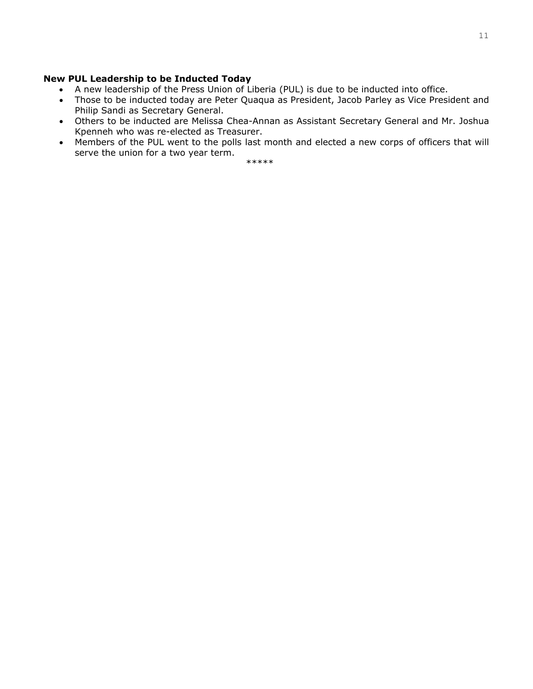#### **New PUL Leadership to be Inducted Today**

- A new leadership of the Press Union of Liberia (PUL) is due to be inducted into office.
- Those to be inducted today are Peter Quaqua as President, Jacob Parley as Vice President and Philip Sandi as Secretary General.
- Others to be inducted are Melissa Chea-Annan as Assistant Secretary General and Mr. Joshua Kpenneh who was re-elected as Treasurer.
- Members of the PUL went to the polls last month and elected a new corps of officers that will serve the union for a two year term.

\*\*\*\*\*\*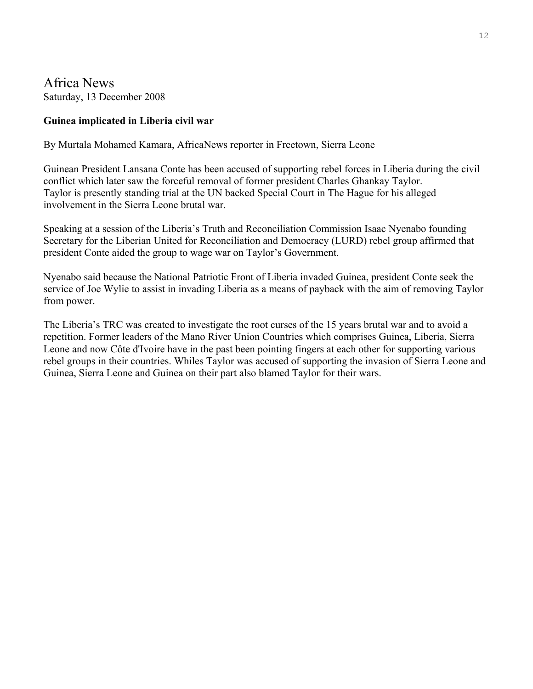Africa News Saturday, 13 December 2008

# **Guinea implicated in Liberia civil war**

By Murtala Mohamed Kamara, AfricaNews reporter in Freetown, Sierra Leone

Guinean President Lansana Conte has been accused of supporting rebel forces in Liberia during the civil conflict which later saw the forceful removal of former president Charles Ghankay Taylor. Taylor is presently standing trial at the UN backed Special Court in The Hague for his alleged involvement in the Sierra Leone brutal war.

Speaking at a session of the Liberia's Truth and Reconciliation Commission Isaac Nyenabo founding Secretary for the Liberian United for Reconciliation and Democracy (LURD) rebel group affirmed that president Conte aided the group to wage war on Taylor's Government.

Nyenabo said because the National Patriotic Front of Liberia invaded Guinea, president Conte seek the service of Joe Wylie to assist in invading Liberia as a means of payback with the aim of removing Taylor from power.

The Liberia's TRC was created to investigate the root curses of the 15 years brutal war and to avoid a repetition. Former leaders of the Mano River Union Countries which comprises Guinea, Liberia, Sierra Leone and now Côte d'Ivoire have in the past been pointing fingers at each other for supporting various rebel groups in their countries. Whiles Taylor was accused of supporting the invasion of Sierra Leone and Guinea, Sierra Leone and Guinea on their part also blamed Taylor for their wars.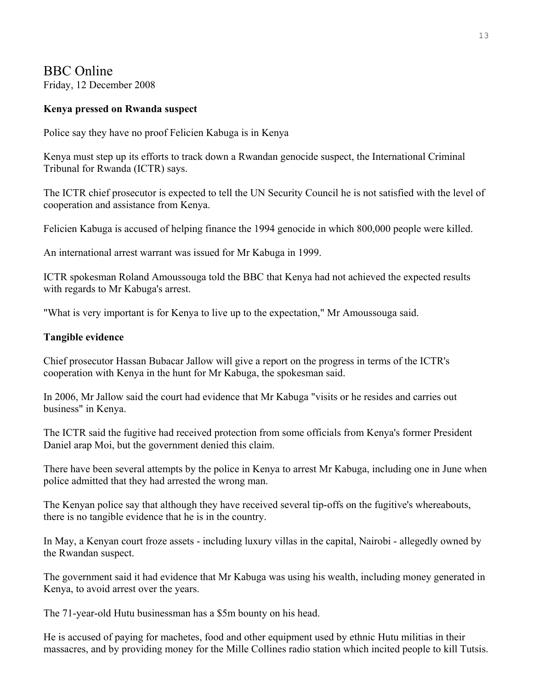BBC Online Friday, 12 December 2008

### **Kenya pressed on Rwanda suspect**

Police say they have no proof Felicien Kabuga is in Kenya

Kenya must step up its efforts to track down a Rwandan genocide suspect, the International Criminal Tribunal for Rwanda (ICTR) says.

The ICTR chief prosecutor is expected to tell the UN Security Council he is not satisfied with the level of cooperation and assistance from Kenya.

Felicien Kabuga is accused of helping finance the 1994 genocide in which 800,000 people were killed.

An international arrest warrant was issued for Mr Kabuga in 1999.

ICTR spokesman Roland Amoussouga told the BBC that Kenya had not achieved the expected results with regards to Mr Kabuga's arrest.

"What is very important is for Kenya to live up to the expectation," Mr Amoussouga said.

#### **Tangible evidence**

Chief prosecutor Hassan Bubacar Jallow will give a report on the progress in terms of the ICTR's cooperation with Kenya in the hunt for Mr Kabuga, the spokesman said.

In 2006, Mr Jallow said the court had evidence that Mr Kabuga "visits or he resides and carries out business" in Kenya.

The ICTR said the fugitive had received protection from some officials from Kenya's former President Daniel arap Moi, but the government denied this claim.

There have been several attempts by the police in Kenya to arrest Mr Kabuga, including one in June when police admitted that they had arrested the wrong man.

The Kenyan police say that although they have received several tip-offs on the fugitive's whereabouts, there is no tangible evidence that he is in the country.

In May, a Kenyan court froze assets - including luxury villas in the capital, Nairobi - allegedly owned by the Rwandan suspect.

The government said it had evidence that Mr Kabuga was using his wealth, including money generated in Kenya, to avoid arrest over the years.

The 71-year-old Hutu businessman has a \$5m bounty on his head.

He is accused of paying for machetes, food and other equipment used by ethnic Hutu militias in their massacres, and by providing money for the Mille Collines radio station which incited people to kill Tutsis.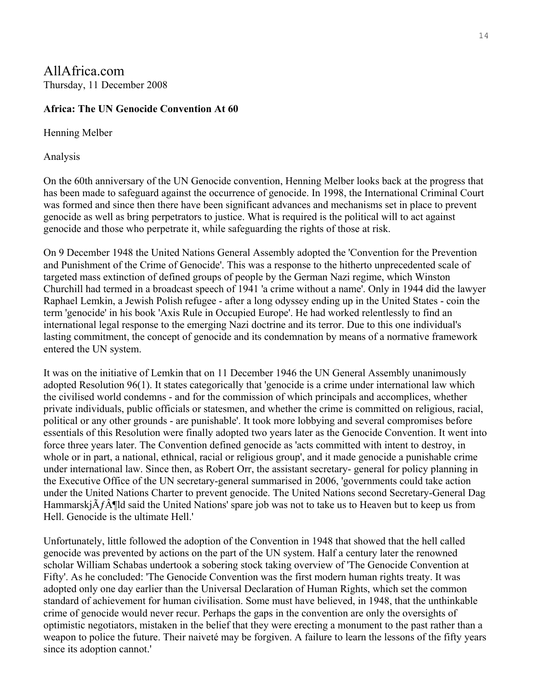AllAfrica.com Thursday, 11 December 2008

#### **Africa: The UN Genocide Convention At 60**

Henning Melber

Analysis

On the 60th anniversary of the UN Genocide convention, Henning Melber looks back at the progress that has been made to safeguard against the occurrence of genocide. In 1998, the International Criminal Court was formed and since then there have been significant advances and mechanisms set in place to prevent genocide as well as bring perpetrators to justice. What is required is the political will to act against genocide and those who perpetrate it, while safeguarding the rights of those at risk.

On 9 December 1948 the United Nations General Assembly adopted the 'Convention for the Prevention and Punishment of the Crime of Genocide'. This was a response to the hitherto unprecedented scale of targeted mass extinction of defined groups of people by the German Nazi regime, which Winston Churchill had termed in a broadcast speech of 1941 'a crime without a name'. Only in 1944 did the lawyer Raphael Lemkin, a Jewish Polish refugee - after a long odyssey ending up in the United States - coin the term 'genocide' in his book 'Axis Rule in Occupied Europe'. He had worked relentlessly to find an international legal response to the emerging Nazi doctrine and its terror. Due to this one individual's lasting commitment, the concept of genocide and its condemnation by means of a normative framework entered the UN system.

It was on the initiative of Lemkin that on 11 December 1946 the UN General Assembly unanimously adopted Resolution 96(1). It states categorically that 'genocide is a crime under international law which the civilised world condemns - and for the commission of which principals and accomplices, whether private individuals, public officials or statesmen, and whether the crime is committed on religious, racial, political or any other grounds - are punishable'. It took more lobbying and several compromises before essentials of this Resolution were finally adopted two years later as the Genocide Convention. It went into force three years later. The Convention defined genocide as 'acts committed with intent to destroy, in whole or in part, a national, ethnical, racial or religious group', and it made genocide a punishable crime under international law. Since then, as Robert Orr, the assistant secretary- general for policy planning in the Executive Office of the UN secretary-general summarised in 2006, 'governments could take action under the United Nations Charter to prevent genocide. The United Nations second Secretary-General Dag Hammarskj $\tilde{A}f\hat{A}$  and the United Nations' spare job was not to take us to Heaven but to keep us from Hell. Genocide is the ultimate Hell.'

Unfortunately, little followed the adoption of the Convention in 1948 that showed that the hell called genocide was prevented by actions on the part of the UN system. Half a century later the renowned scholar William Schabas undertook a sobering stock taking overview of 'The Genocide Convention at Fifty'. As he concluded: 'The Genocide Convention was the first modern human rights treaty. It was adopted only one day earlier than the Universal Declaration of Human Rights, which set the common standard of achievement for human civilisation. Some must have believed, in 1948, that the unthinkable crime of genocide would never recur. Perhaps the gaps in the convention are only the oversights of optimistic negotiators, mistaken in the belief that they were erecting a monument to the past rather than a weapon to police the future. Their naiveté may be forgiven. A failure to learn the lessons of the fifty years since its adoption cannot.'